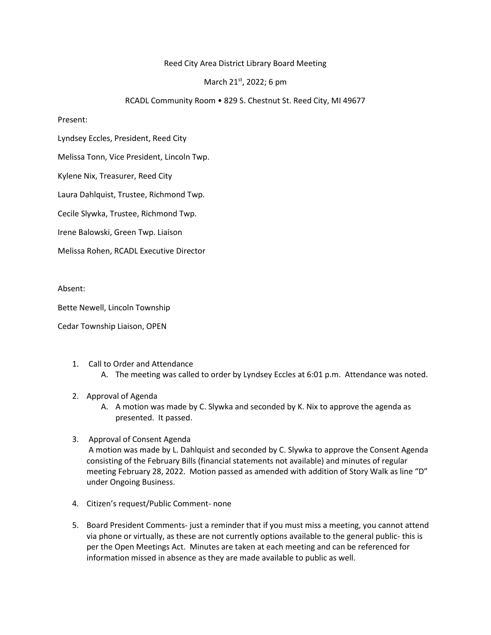## Reed City Area District Library Board Meeting

## March 21<sup>st</sup>, 2022; 6 pm

## RCADL Community Room • 829 S. Chestnut St. Reed City, MI 49677

Present:

Lyndsey Eccles, President, Reed City

Melissa Tonn, Vice President, Lincoln Twp.

Kylene Nix, Treasurer, Reed City

Laura Dahlquist, Trustee, Richmond Twp.

Cecile Slywka, Trustee, Richmond Twp.

Irene Balowski, Green Twp. Liaison

Melissa Rohen, RCADL Executive Director

Absent:

Bette Newell, Lincoln Township

Cedar Township Liaison, OPEN

- 1. Call to Order and Attendance
	- A. The meeting was called to order by Lyndsey Eccles at 6:01 p.m. Attendance was noted.
- 2. Approval of Agenda
	- A. A motion was made by C. Slywka and seconded by K. Nix to approve the agenda as presented. It passed.
- 3. Approval of Consent Agenda

A motion was made by L. Dahlquist and seconded by C. Slywka to approve the Consent Agenda consisting of the February Bills (financial statements not available) and minutes of regular meeting February 28, 2022. Motion passed as amended with addition of Story Walk as line "D" under Ongoing Business.

- 4. Citizen's request/Public Comment- none
- 5. Board President Comments- just a reminder that if you must miss a meeting, you cannot attend via phone or virtually, as these are not currently options available to the general public- this is per the Open Meetings Act. Minutes are taken at each meeting and can be referenced for information missed in absence as they are made available to public as well.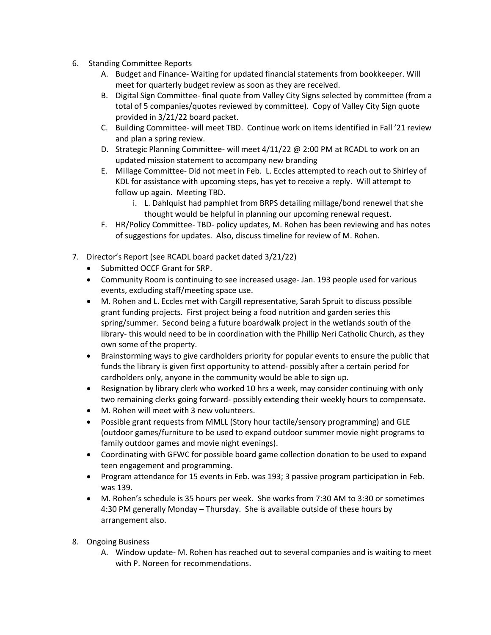- 6. Standing Committee Reports
	- A. Budget and Finance- Waiting for updated financial statements from bookkeeper. Will meet for quarterly budget review as soon as they are received.
	- B. Digital Sign Committee- final quote from Valley City Signs selected by committee (from a total of 5 companies/quotes reviewed by committee). Copy of Valley City Sign quote provided in 3/21/22 board packet.
	- C. Building Committee- will meet TBD. Continue work on items identified in Fall '21 review and plan a spring review.
	- D. Strategic Planning Committee- will meet 4/11/22 @ 2:00 PM at RCADL to work on an updated mission statement to accompany new branding
	- E. Millage Committee- Did not meet in Feb. L. Eccles attempted to reach out to Shirley of KDL for assistance with upcoming steps, has yet to receive a reply. Will attempt to follow up again. Meeting TBD.
		- i. L. Dahlquist had pamphlet from BRPS detailing millage/bond renewel that she thought would be helpful in planning our upcoming renewal request.
	- F. HR/Policy Committee- TBD- policy updates, M. Rohen has been reviewing and has notes of suggestions for updates. Also, discuss timeline for review of M. Rohen.
- 7. Director's Report (see RCADL board packet dated 3/21/22)
	- Submitted OCCF Grant for SRP.
	- Community Room is continuing to see increased usage- Jan. 193 people used for various events, excluding staff/meeting space use.
	- M. Rohen and L. Eccles met with Cargill representative, Sarah Spruit to discuss possible grant funding projects. First project being a food nutrition and garden series this spring/summer. Second being a future boardwalk project in the wetlands south of the library- this would need to be in coordination with the Phillip Neri Catholic Church, as they own some of the property.
	- Brainstorming ways to give cardholders priority for popular events to ensure the public that funds the library is given first opportunity to attend- possibly after a certain period for cardholders only, anyone in the community would be able to sign up.
	- Resignation by library clerk who worked 10 hrs a week, may consider continuing with only two remaining clerks going forward- possibly extending their weekly hours to compensate.
	- M. Rohen will meet with 3 new volunteers.
	- Possible grant requests from MMLL (Story hour tactile/sensory programming) and GLE (outdoor games/furniture to be used to expand outdoor summer movie night programs to family outdoor games and movie night evenings).
	- Coordinating with GFWC for possible board game collection donation to be used to expand teen engagement and programming.
	- Program attendance for 15 events in Feb. was 193; 3 passive program participation in Feb. was 139.
	- M. Rohen's schedule is 35 hours per week. She works from 7:30 AM to 3:30 or sometimes 4:30 PM generally Monday – Thursday. She is available outside of these hours by arrangement also.
- 8. Ongoing Business
	- A. Window update- M. Rohen has reached out to several companies and is waiting to meet with P. Noreen for recommendations.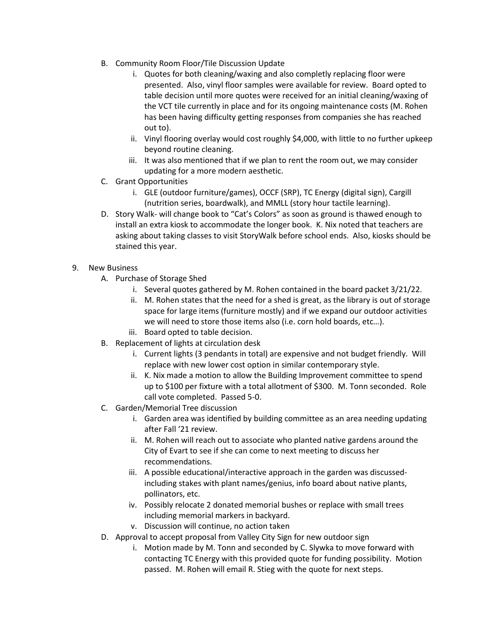- B. Community Room Floor/Tile Discussion Update
	- i. Quotes for both cleaning/waxing and also completly replacing floor were presented. Also, vinyl floor samples were available for review. Board opted to table decision until more quotes were received for an initial cleaning/waxing of the VCT tile currently in place and for its ongoing maintenance costs (M. Rohen has been having difficulty getting responses from companies she has reached out to).
	- ii. Vinyl flooring overlay would cost roughly \$4,000, with little to no further upkeep beyond routine cleaning.
	- iii. It was also mentioned that if we plan to rent the room out, we may consider updating for a more modern aesthetic.
- C. Grant Opportunities
	- i. GLE (outdoor furniture/games), OCCF (SRP), TC Energy (digital sign), Cargill (nutrition series, boardwalk), and MMLL (story hour tactile learning).
- D. Story Walk- will change book to "Cat's Colors" as soon as ground is thawed enough to install an extra kiosk to accommodate the longer book. K. Nix noted that teachers are asking about taking classes to visit StoryWalk before school ends. Also, kiosks should be stained this year.
- 9. New Business
	- A. Purchase of Storage Shed
		- i. Several quotes gathered by M. Rohen contained in the board packet 3/21/22.
		- ii. M. Rohen states that the need for a shed is great, as the library is out of storage space for large items (furniture mostly) and if we expand our outdoor activities we will need to store those items also (i.e. corn hold boards, etc…).
		- iii. Board opted to table decision.
	- B. Replacement of lights at circulation desk
		- i. Current lights (3 pendants in total) are expensive and not budget friendly. Will replace with new lower cost option in similar contemporary style.
		- ii. K. Nix made a motion to allow the Building Improvement committee to spend up to \$100 per fixture with a total allotment of \$300. M. Tonn seconded. Role call vote completed. Passed 5-0.
	- C. Garden/Memorial Tree discussion
		- i. Garden area was identified by building committee as an area needing updating after Fall '21 review.
		- ii. M. Rohen will reach out to associate who planted native gardens around the City of Evart to see if she can come to next meeting to discuss her recommendations.
		- iii. A possible educational/interactive approach in the garden was discussedincluding stakes with plant names/genius, info board about native plants, pollinators, etc.
		- iv. Possibly relocate 2 donated memorial bushes or replace with small trees including memorial markers in backyard.
		- v. Discussion will continue, no action taken
	- D. Approval to accept proposal from Valley City Sign for new outdoor sign
		- i. Motion made by M. Tonn and seconded by C. Slywka to move forward with contacting TC Energy with this provided quote for funding possibility. Motion passed. M. Rohen will email R. Stieg with the quote for next steps.